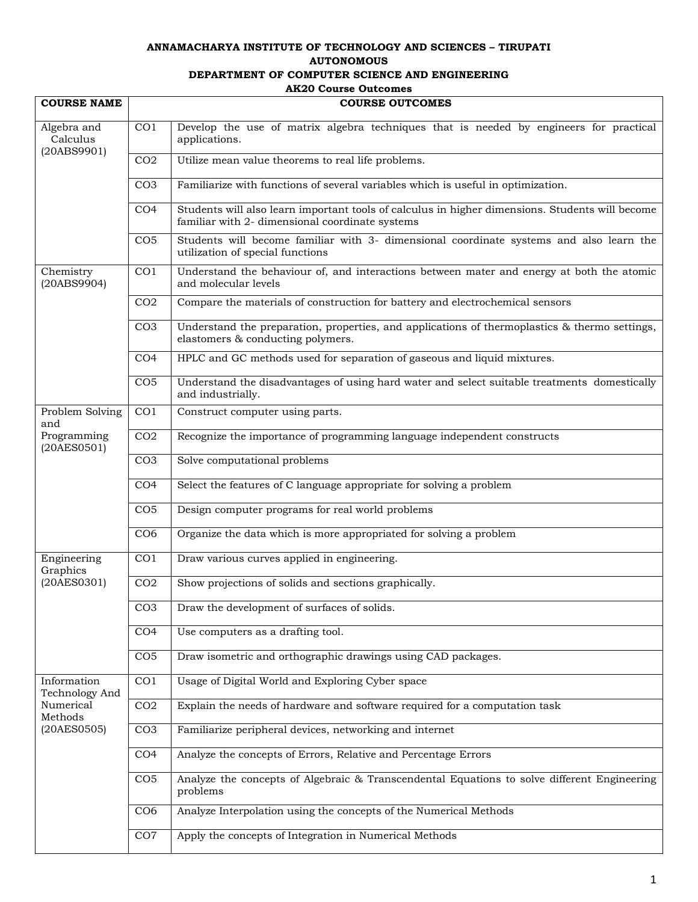## **ANNAMACHARYA INSTITUTE OF TECHNOLOGY AND SCIENCES – TIRUPATI AUTONOMOUS DEPARTMENT OF COMPUTER SCIENCE AND ENGINEERING AK20 Course Outcomes**

| <b>COURSE NAME</b>                     | <b>COURSE OUTCOMES</b> |                                                                                                                                                    |
|----------------------------------------|------------------------|----------------------------------------------------------------------------------------------------------------------------------------------------|
|                                        |                        |                                                                                                                                                    |
| Algebra and<br>Calculus<br>(20ABS9901) | CO <sub>1</sub>        | Develop the use of matrix algebra techniques that is needed by engineers for practical<br>applications.                                            |
|                                        | CO <sub>2</sub>        | Utilize mean value theorems to real life problems.                                                                                                 |
|                                        | CO <sub>3</sub>        | Familiarize with functions of several variables which is useful in optimization.                                                                   |
|                                        | CO <sub>4</sub>        | Students will also learn important tools of calculus in higher dimensions. Students will become<br>familiar with 2- dimensional coordinate systems |
|                                        | CO <sub>5</sub>        | Students will become familiar with 3- dimensional coordinate systems and also learn the<br>utilization of special functions                        |
| Chemistry<br>(20ABS9904)               | CO <sub>1</sub>        | Understand the behaviour of, and interactions between mater and energy at both the atomic<br>and molecular levels                                  |
|                                        | CO <sub>2</sub>        | Compare the materials of construction for battery and electrochemical sensors                                                                      |
|                                        | CO <sub>3</sub>        | Understand the preparation, properties, and applications of thermoplastics & thermo settings,<br>elastomers & conducting polymers.                 |
|                                        | CO <sub>4</sub>        | HPLC and GC methods used for separation of gaseous and liquid mixtures.                                                                            |
|                                        | CO <sub>5</sub>        | Understand the disadvantages of using hard water and select suitable treatments domestically<br>and industrially.                                  |
| Problem Solving<br>and                 | CO <sub>1</sub>        | Construct computer using parts.                                                                                                                    |
| Programming<br>(20AES0501)             | CO <sub>2</sub>        | Recognize the importance of programming language independent constructs                                                                            |
|                                        | CO <sub>3</sub>        | Solve computational problems                                                                                                                       |
|                                        | CO <sub>4</sub>        | Select the features of C language appropriate for solving a problem                                                                                |
|                                        | CO <sub>5</sub>        | Design computer programs for real world problems                                                                                                   |
|                                        | CO <sub>6</sub>        | Organize the data which is more appropriated for solving a problem                                                                                 |
| Engineering<br>Graphics                | CO <sub>1</sub>        | Draw various curves applied in engineering.                                                                                                        |
| (20AES0301)                            | CO <sub>2</sub>        | Show projections of solids and sections graphically.                                                                                               |
|                                        | CO <sub>3</sub>        | Draw the development of surfaces of solids.                                                                                                        |
|                                        | CO <sub>4</sub>        | Use computers as a drafting tool.                                                                                                                  |
|                                        | CO <sub>5</sub>        | Draw isometric and orthographic drawings using CAD packages.                                                                                       |
| Information<br>Technology And          | CO <sub>1</sub>        | Usage of Digital World and Exploring Cyber space                                                                                                   |
| Numerical<br>Methods<br>(20AES0505)    | CO <sub>2</sub>        | Explain the needs of hardware and software required for a computation task                                                                         |
|                                        | CO <sub>3</sub>        | Familiarize peripheral devices, networking and internet                                                                                            |
|                                        | CO <sub>4</sub>        | Analyze the concepts of Errors, Relative and Percentage Errors                                                                                     |
|                                        | CO <sub>5</sub>        | Analyze the concepts of Algebraic & Transcendental Equations to solve different Engineering<br>problems                                            |
|                                        | CO <sub>6</sub>        | Analyze Interpolation using the concepts of the Numerical Methods                                                                                  |
|                                        | CO7                    | Apply the concepts of Integration in Numerical Methods                                                                                             |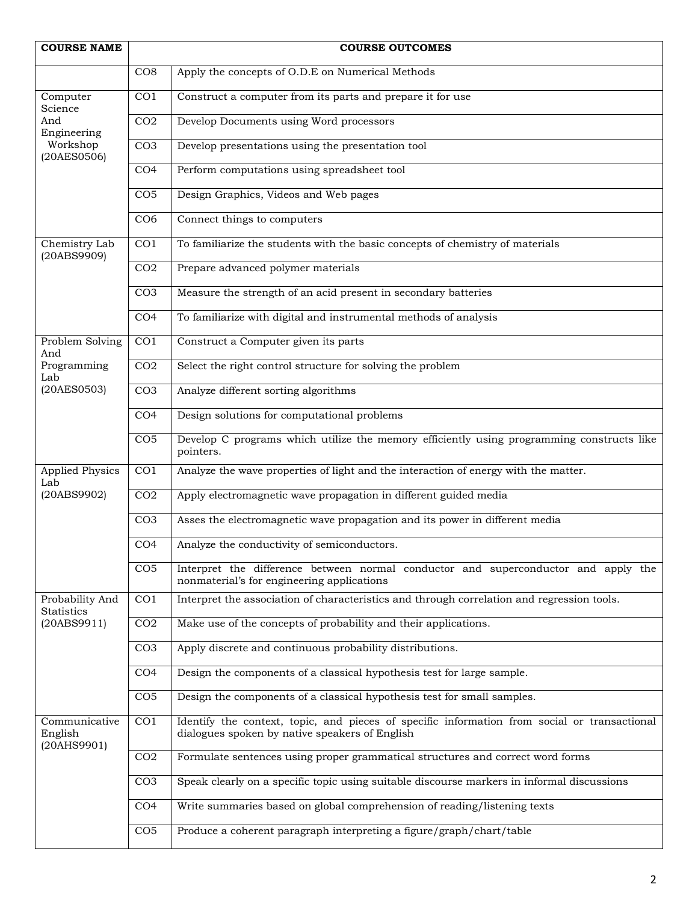| <b>COURSE NAME</b>                                    |                 | <b>COURSE OUTCOMES</b>                                                                                                                         |
|-------------------------------------------------------|-----------------|------------------------------------------------------------------------------------------------------------------------------------------------|
|                                                       | CO8             | Apply the concepts of O.D.E on Numerical Methods                                                                                               |
| Computer<br>Science<br>And<br>Engineering<br>Workshop | CO <sub>1</sub> | Construct a computer from its parts and prepare it for use                                                                                     |
|                                                       | CO <sub>2</sub> | Develop Documents using Word processors                                                                                                        |
|                                                       | CO <sub>3</sub> | Develop presentations using the presentation tool                                                                                              |
| (20AES0506)                                           |                 |                                                                                                                                                |
|                                                       | CO <sub>4</sub> | Perform computations using spreadsheet tool                                                                                                    |
|                                                       | CO <sub>5</sub> | Design Graphics, Videos and Web pages                                                                                                          |
|                                                       | CO <sub>6</sub> | Connect things to computers                                                                                                                    |
| Chemistry Lab<br>(20ABS9909)                          | CO <sub>1</sub> | To familiarize the students with the basic concepts of chemistry of materials                                                                  |
|                                                       | CO <sub>2</sub> | Prepare advanced polymer materials                                                                                                             |
|                                                       | CO <sub>3</sub> | Measure the strength of an acid present in secondary batteries                                                                                 |
|                                                       | CO <sub>4</sub> | To familiarize with digital and instrumental methods of analysis                                                                               |
| Problem Solving                                       | CO <sub>1</sub> | Construct a Computer given its parts                                                                                                           |
| And<br>Programming                                    | CO <sub>2</sub> | Select the right control structure for solving the problem                                                                                     |
| Lab<br>(20AES0503)                                    | CO <sub>3</sub> | Analyze different sorting algorithms                                                                                                           |
|                                                       | CO <sub>4</sub> | Design solutions for computational problems                                                                                                    |
|                                                       | CO <sub>5</sub> | Develop C programs which utilize the memory efficiently using programming constructs like<br>pointers.                                         |
| <b>Applied Physics</b><br>Lab                         | CO <sub>1</sub> | Analyze the wave properties of light and the interaction of energy with the matter.                                                            |
| (20ABS9902)                                           | CO <sub>2</sub> | Apply electromagnetic wave propagation in different guided media                                                                               |
|                                                       | CO <sub>3</sub> | Asses the electromagnetic wave propagation and its power in different media                                                                    |
|                                                       | CO <sub>4</sub> | Analyze the conductivity of semiconductors.                                                                                                    |
|                                                       | CO <sub>5</sub> | Interpret the difference between normal conductor and superconductor and apply the<br>nonmaterial's for engineering applications               |
| Probability And                                       | CO <sub>1</sub> | Interpret the association of characteristics and through correlation and regression tools.                                                     |
| Statistics<br>(20ABS9911)                             | CO <sub>2</sub> | Make use of the concepts of probability and their applications.                                                                                |
|                                                       | CO <sub>3</sub> | Apply discrete and continuous probability distributions.                                                                                       |
|                                                       | CO <sub>4</sub> | Design the components of a classical hypothesis test for large sample.                                                                         |
|                                                       | CO <sub>5</sub> | Design the components of a classical hypothesis test for small samples.                                                                        |
| Communicative<br>English                              | CO <sub>1</sub> | Identify the context, topic, and pieces of specific information from social or transactional<br>dialogues spoken by native speakers of English |
| (20AHS9901)                                           | CO <sub>2</sub> | Formulate sentences using proper grammatical structures and correct word forms                                                                 |
|                                                       | CO <sub>3</sub> | Speak clearly on a specific topic using suitable discourse markers in informal discussions                                                     |
|                                                       | CO <sub>4</sub> | Write summaries based on global comprehension of reading/listening texts                                                                       |
|                                                       | CO <sub>5</sub> | Produce a coherent paragraph interpreting a figure/graph/chart/table                                                                           |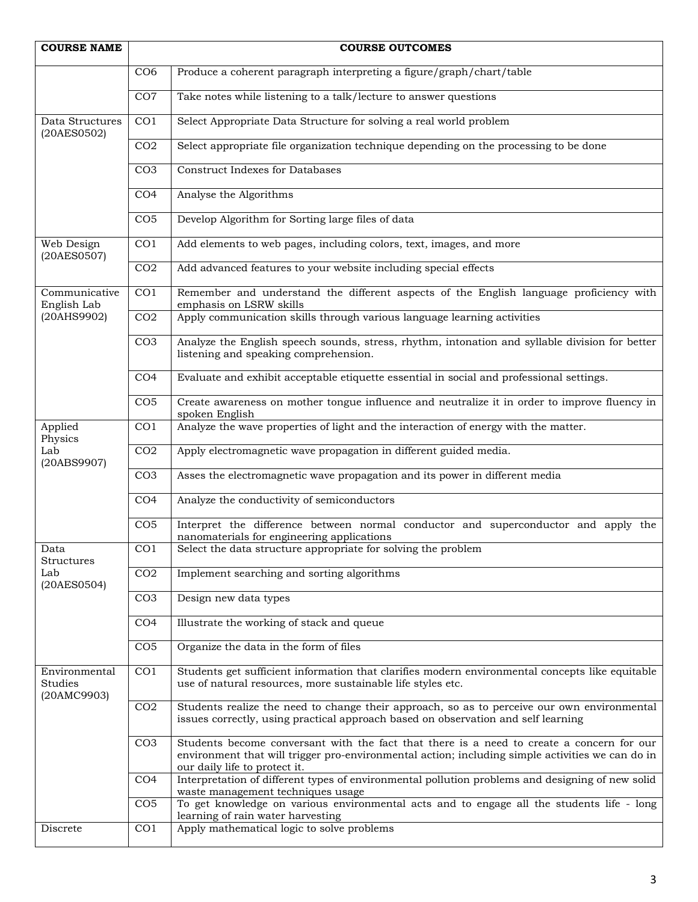| <b>COURSE NAME</b>                             |                 | <b>COURSE OUTCOMES</b>                                                                                                                                                                                                         |
|------------------------------------------------|-----------------|--------------------------------------------------------------------------------------------------------------------------------------------------------------------------------------------------------------------------------|
|                                                | CO <sub>6</sub> | Produce a coherent paragraph interpreting a figure/graph/chart/table                                                                                                                                                           |
|                                                | CO7             | Take notes while listening to a talk/lecture to answer questions                                                                                                                                                               |
| Data Structures<br>(20AES0502)                 | CO <sub>1</sub> | Select Appropriate Data Structure for solving a real world problem                                                                                                                                                             |
|                                                | CO <sub>2</sub> | Select appropriate file organization technique depending on the processing to be done                                                                                                                                          |
|                                                | CO <sub>3</sub> | <b>Construct Indexes for Databases</b>                                                                                                                                                                                         |
|                                                | CO <sub>4</sub> | Analyse the Algorithms                                                                                                                                                                                                         |
|                                                | CO <sub>5</sub> | Develop Algorithm for Sorting large files of data                                                                                                                                                                              |
| Web Design<br>(20AES0507)                      | CO <sub>1</sub> | Add elements to web pages, including colors, text, images, and more                                                                                                                                                            |
|                                                | CO <sub>2</sub> | Add advanced features to your website including special effects                                                                                                                                                                |
| Communicative<br>English Lab                   | CO <sub>1</sub> | Remember and understand the different aspects of the English language proficiency with<br>emphasis on LSRW skills                                                                                                              |
| (20AHS9902)                                    | CO <sub>2</sub> | Apply communication skills through various language learning activities                                                                                                                                                        |
|                                                | CO <sub>3</sub> | Analyze the English speech sounds, stress, rhythm, intonation and syllable division for better<br>listening and speaking comprehension.                                                                                        |
|                                                | CO <sub>4</sub> | Evaluate and exhibit acceptable etiquette essential in social and professional settings.                                                                                                                                       |
|                                                | CO <sub>5</sub> | Create awareness on mother tongue influence and neutralize it in order to improve fluency in<br>spoken English                                                                                                                 |
| Applied<br>Physics                             | CO1             | Analyze the wave properties of light and the interaction of energy with the matter.                                                                                                                                            |
| Lab<br>(20ABS9907)                             | CO <sub>2</sub> | Apply electromagnetic wave propagation in different guided media.                                                                                                                                                              |
|                                                | CO <sub>3</sub> | Asses the electromagnetic wave propagation and its power in different media                                                                                                                                                    |
|                                                | CO <sub>4</sub> | Analyze the conductivity of semiconductors                                                                                                                                                                                     |
|                                                | CO <sub>5</sub> | Interpret the difference between normal conductor and superconductor and apply the<br>nanomaterials for engineering applications                                                                                               |
| Data<br>Structures                             | CO <sub>1</sub> | Select the data structure appropriate for solving the problem                                                                                                                                                                  |
| Lab<br>(20AES0504)                             | CO <sub>2</sub> | Implement searching and sorting algorithms                                                                                                                                                                                     |
|                                                | CO <sub>3</sub> | Design new data types                                                                                                                                                                                                          |
|                                                | CO <sub>4</sub> | Illustrate the working of stack and queue                                                                                                                                                                                      |
|                                                | CO <sub>5</sub> | Organize the data in the form of files                                                                                                                                                                                         |
| Environmental<br><b>Studies</b><br>(20AMC9903) | CO <sub>1</sub> | Students get sufficient information that clarifies modern environmental concepts like equitable<br>use of natural resources, more sustainable life styles etc.                                                                 |
|                                                | CO <sub>2</sub> | Students realize the need to change their approach, so as to perceive our own environmental<br>issues correctly, using practical approach based on observation and self learning                                               |
|                                                | CO <sub>3</sub> | Students become conversant with the fact that there is a need to create a concern for our<br>environment that will trigger pro-environmental action; including simple activities we can do in<br>our daily life to protect it. |
|                                                | CO <sub>4</sub> | Interpretation of different types of environmental pollution problems and designing of new solid<br>waste management techniques usage                                                                                          |
|                                                | CO <sub>5</sub> | To get knowledge on various environmental acts and to engage all the students life - long<br>learning of rain water harvesting                                                                                                 |
| Discrete                                       | CO <sub>1</sub> | Apply mathematical logic to solve problems                                                                                                                                                                                     |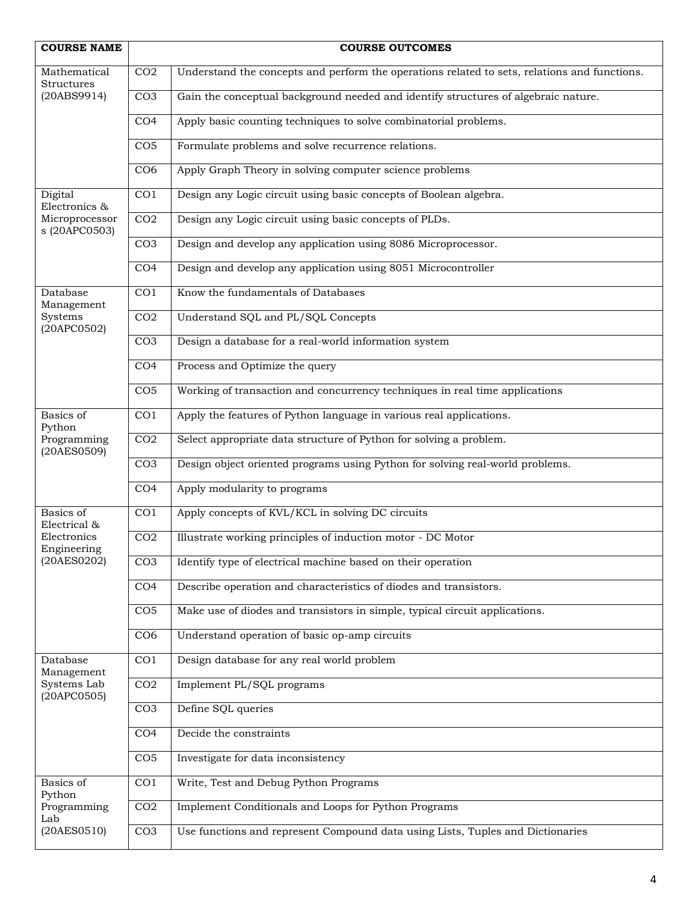| <b>COURSE NAME</b>                                |                 | <b>COURSE OUTCOMES</b>                                                                       |
|---------------------------------------------------|-----------------|----------------------------------------------------------------------------------------------|
| Mathematical<br><b>Structures</b>                 | CO <sub>2</sub> | Understand the concepts and perform the operations related to sets, relations and functions. |
| (20ABS9914)                                       | CO <sub>3</sub> | Gain the conceptual background needed and identify structures of algebraic nature.           |
|                                                   | CO <sub>4</sub> | Apply basic counting techniques to solve combinatorial problems.                             |
|                                                   | CO <sub>5</sub> | Formulate problems and solve recurrence relations.                                           |
|                                                   | CO <sub>6</sub> | Apply Graph Theory in solving computer science problems                                      |
| Digital<br>Electronics &                          | CO <sub>1</sub> | Design any Logic circuit using basic concepts of Boolean algebra.                            |
| Microprocessor<br>s (20APC0503)                   | CO <sub>2</sub> | Design any Logic circuit using basic concepts of PLDs.                                       |
|                                                   | CO <sub>3</sub> | Design and develop any application using 8086 Microprocessor.                                |
|                                                   | CO <sub>4</sub> | Design and develop any application using 8051 Microcontroller                                |
| Database<br>Management                            | CO <sub>1</sub> | Know the fundamentals of Databases                                                           |
| Systems<br>(20APC0502)                            | CO <sub>2</sub> | Understand SQL and PL/SQL Concepts                                                           |
|                                                   | CO <sub>3</sub> | Design a database for a real-world information system                                        |
|                                                   | CO <sub>4</sub> | Process and Optimize the query                                                               |
|                                                   | CO <sub>5</sub> | Working of transaction and concurrency techniques in real time applications                  |
| Basics of<br>Python<br>Programming<br>(20AES0509) | CO <sub>1</sub> | Apply the features of Python language in various real applications.                          |
|                                                   | CO <sub>2</sub> | Select appropriate data structure of Python for solving a problem.                           |
|                                                   | CO <sub>3</sub> | Design object oriented programs using Python for solving real-world problems.                |
|                                                   | CO <sub>4</sub> | Apply modularity to programs                                                                 |
| Basics of<br>Electrical &                         | CO <sub>1</sub> | Apply concepts of KVL/KCL in solving DC circuits                                             |
| Electronics<br>Engineering                        | CO <sub>2</sub> | Illustrate working principles of induction motor - DC Motor                                  |
| (20AES0202)                                       | CO <sub>3</sub> | Identify type of electrical machine based on their operation                                 |
|                                                   | CO <sub>4</sub> | Describe operation and characteristics of diodes and transistors.                            |
|                                                   | CO <sub>5</sub> | Make use of diodes and transistors in simple, typical circuit applications.                  |
|                                                   | CO6             | Understand operation of basic op-amp circuits                                                |
| Database<br>Management                            | CO <sub>1</sub> | Design database for any real world problem                                                   |
| Systems Lab<br>(20APCO505)                        | CO <sub>2</sub> | Implement PL/SQL programs                                                                    |
|                                                   | CO <sub>3</sub> | Define SQL queries                                                                           |
|                                                   | CO <sub>4</sub> | Decide the constraints                                                                       |
|                                                   | CO <sub>5</sub> | Investigate for data inconsistency                                                           |
| Basics of<br>Python                               | CO <sub>1</sub> | Write, Test and Debug Python Programs                                                        |
| Programming<br>Lab                                | CO <sub>2</sub> | Implement Conditionals and Loops for Python Programs                                         |
| (20AES0510)                                       | CO <sub>3</sub> | Use functions and represent Compound data using Lists, Tuples and Dictionaries               |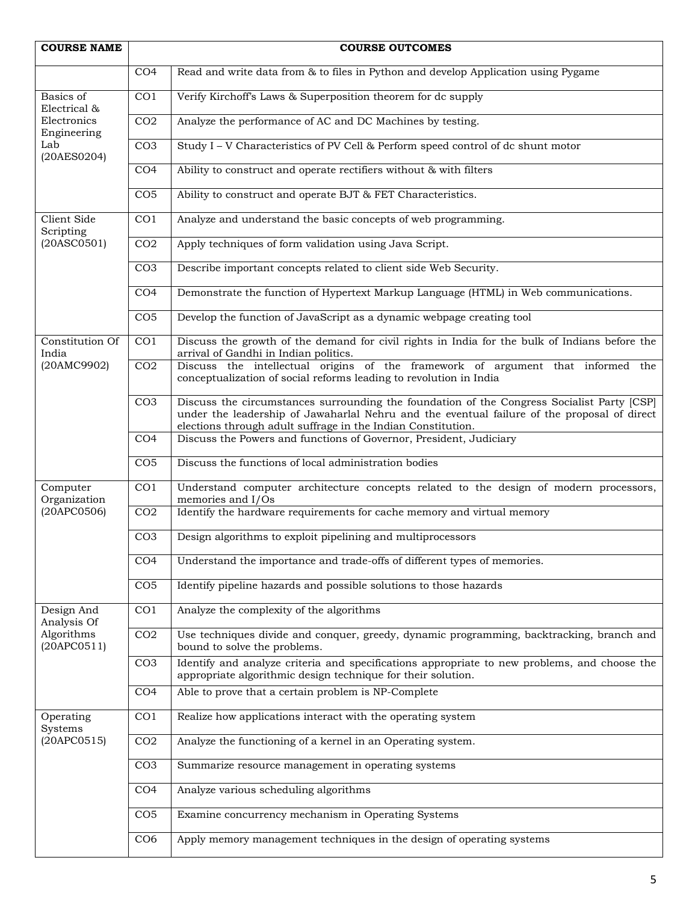| <b>COURSE NAME</b>                                |                 | <b>COURSE OUTCOMES</b>                                                                                                                                                                                                                                    |
|---------------------------------------------------|-----------------|-----------------------------------------------------------------------------------------------------------------------------------------------------------------------------------------------------------------------------------------------------------|
|                                                   | CO <sub>4</sub> | Read and write data from & to files in Python and develop Application using Pygame                                                                                                                                                                        |
| Basics of                                         | CO <sub>1</sub> | Verify Kirchoff's Laws & Superposition theorem for dc supply                                                                                                                                                                                              |
| Electrical &<br>Electronics<br>Engineering<br>Lab | CO <sub>2</sub> | Analyze the performance of AC and DC Machines by testing.                                                                                                                                                                                                 |
|                                                   | CO <sub>3</sub> | Study I - V Characteristics of PV Cell & Perform speed control of dc shunt motor                                                                                                                                                                          |
| (20AES0204)                                       | CO <sub>4</sub> | Ability to construct and operate rectifiers without & with filters                                                                                                                                                                                        |
|                                                   | CO <sub>5</sub> | Ability to construct and operate BJT & FET Characteristics.                                                                                                                                                                                               |
|                                                   |                 |                                                                                                                                                                                                                                                           |
| Client Side<br>Scripting                          | CO <sub>1</sub> | Analyze and understand the basic concepts of web programming.                                                                                                                                                                                             |
| (20ASCO501)                                       | CO <sub>2</sub> | Apply techniques of form validation using Java Script.                                                                                                                                                                                                    |
|                                                   | CO <sub>3</sub> | Describe important concepts related to client side Web Security.                                                                                                                                                                                          |
|                                                   | CO <sub>4</sub> | Demonstrate the function of Hypertext Markup Language (HTML) in Web communications.                                                                                                                                                                       |
|                                                   | CO <sub>5</sub> | Develop the function of JavaScript as a dynamic webpage creating tool                                                                                                                                                                                     |
| Constitution Of<br>India                          | CO <sub>1</sub> | Discuss the growth of the demand for civil rights in India for the bulk of Indians before the<br>arrival of Gandhi in Indian politics.                                                                                                                    |
| (20AMC9902)                                       | CO <sub>2</sub> | Discuss the intellectual origins of the framework of argument that informed the<br>conceptualization of social reforms leading to revolution in India                                                                                                     |
|                                                   | CO <sub>3</sub> | Discuss the circumstances surrounding the foundation of the Congress Socialist Party [CSP]<br>under the leadership of Jawaharlal Nehru and the eventual failure of the proposal of direct<br>elections through adult suffrage in the Indian Constitution. |
|                                                   | CO <sub>4</sub> | Discuss the Powers and functions of Governor, President, Judiciary                                                                                                                                                                                        |
|                                                   | CO <sub>5</sub> | Discuss the functions of local administration bodies                                                                                                                                                                                                      |
| Computer<br>Organization                          | CO <sub>1</sub> | Understand computer architecture concepts related to the design of modern processors,<br>memories and I/Os                                                                                                                                                |
| (20APC0506)                                       | CO <sub>2</sub> | Identify the hardware requirements for cache memory and virtual memory                                                                                                                                                                                    |
|                                                   | CO <sub>3</sub> | Design algorithms to exploit pipelining and multiprocessors                                                                                                                                                                                               |
|                                                   | CO <sub>4</sub> | Understand the importance and trade-offs of different types of memories.                                                                                                                                                                                  |
|                                                   | CO <sub>5</sub> | Identify pipeline hazards and possible solutions to those hazards                                                                                                                                                                                         |
| Design And<br>Analysis Of                         | CO <sub>1</sub> | Analyze the complexity of the algorithms                                                                                                                                                                                                                  |
| Algorithms<br>(20APCO511)                         | CO <sub>2</sub> | Use techniques divide and conquer, greedy, dynamic programming, backtracking, branch and<br>bound to solve the problems.                                                                                                                                  |
|                                                   | CO <sub>3</sub> | Identify and analyze criteria and specifications appropriate to new problems, and choose the<br>appropriate algorithmic design technique for their solution.                                                                                              |
|                                                   | CO <sub>4</sub> | Able to prove that a certain problem is NP-Complete                                                                                                                                                                                                       |
| Operating<br>Systems<br>(20APCO515)               | CO <sub>1</sub> | Realize how applications interact with the operating system                                                                                                                                                                                               |
|                                                   | CO <sub>2</sub> | Analyze the functioning of a kernel in an Operating system.                                                                                                                                                                                               |
|                                                   | CO <sub>3</sub> | Summarize resource management in operating systems                                                                                                                                                                                                        |
|                                                   | CO <sub>4</sub> | Analyze various scheduling algorithms                                                                                                                                                                                                                     |
|                                                   | CO <sub>5</sub> | Examine concurrency mechanism in Operating Systems                                                                                                                                                                                                        |
|                                                   | CO <sub>6</sub> | Apply memory management techniques in the design of operating systems                                                                                                                                                                                     |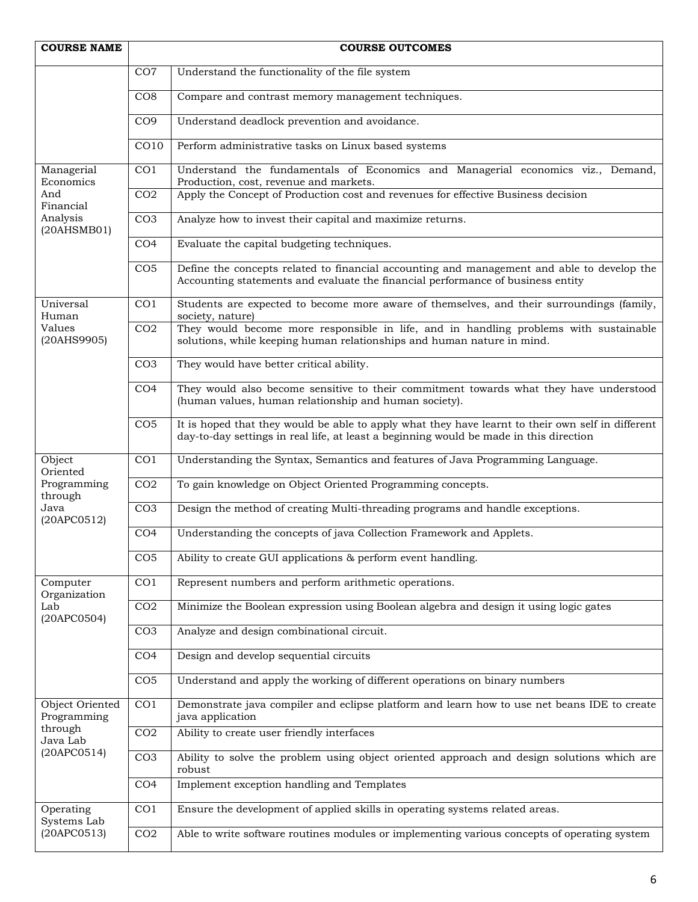| <b>COURSE NAME</b>                                                   | <b>COURSE OUTCOMES</b> |                                                                                                                                                                                             |
|----------------------------------------------------------------------|------------------------|---------------------------------------------------------------------------------------------------------------------------------------------------------------------------------------------|
|                                                                      | CO7                    | Understand the functionality of the file system                                                                                                                                             |
|                                                                      | CO8                    | Compare and contrast memory management techniques.                                                                                                                                          |
|                                                                      | CO <sub>9</sub>        | Understand deadlock prevention and avoidance.                                                                                                                                               |
|                                                                      | CO10                   | Perform administrative tasks on Linux based systems                                                                                                                                         |
| Managerial<br>Economics                                              | CO <sub>1</sub>        | Understand the fundamentals of Economics and Managerial economics viz., Demand,<br>Production, cost, revenue and markets.                                                                   |
| And<br>Financial                                                     | CO <sub>2</sub>        | Apply the Concept of Production cost and revenues for effective Business decision                                                                                                           |
| Analysis<br>(20AHSMB01)                                              | CO <sub>3</sub>        | Analyze how to invest their capital and maximize returns.                                                                                                                                   |
|                                                                      | CO <sub>4</sub>        | Evaluate the capital budgeting techniques.                                                                                                                                                  |
|                                                                      | CO <sub>5</sub>        | Define the concepts related to financial accounting and management and able to develop the<br>Accounting statements and evaluate the financial performance of business entity               |
| Universal<br>Human                                                   | CO <sub>1</sub>        | Students are expected to become more aware of themselves, and their surroundings (family,<br>society, nature)                                                                               |
| Values<br>(20AHS9905)                                                | CO <sub>2</sub>        | They would become more responsible in life, and in handling problems with sustainable<br>solutions, while keeping human relationships and human nature in mind.                             |
|                                                                      | CO <sub>3</sub>        | They would have better critical ability.                                                                                                                                                    |
|                                                                      | CO <sub>4</sub>        | They would also become sensitive to their commitment towards what they have understood<br>(human values, human relationship and human society).                                             |
|                                                                      | CO <sub>5</sub>        | It is hoped that they would be able to apply what they have learnt to their own self in different<br>day-to-day settings in real life, at least a beginning would be made in this direction |
| Object<br>Oriented                                                   | CO <sub>1</sub>        | Understanding the Syntax, Semantics and features of Java Programming Language.                                                                                                              |
| Programming<br>through                                               | CO <sub>2</sub>        | To gain knowledge on Object Oriented Programming concepts.                                                                                                                                  |
| Java<br>(20APCO512)                                                  | CO <sub>3</sub>        | Design the method of creating Multi-threading programs and handle exceptions.                                                                                                               |
|                                                                      | CO <sub>4</sub>        | Understanding the concepts of java Collection Framework and Applets.                                                                                                                        |
|                                                                      | CO <sub>5</sub>        | Ability to create GUI applications & perform event handling.                                                                                                                                |
| Computer<br>Organization                                             | CO <sub>1</sub>        | Represent numbers and perform arithmetic operations.                                                                                                                                        |
| Lab<br>(20APC0504)                                                   | CO <sub>2</sub>        | Minimize the Boolean expression using Boolean algebra and design it using logic gates                                                                                                       |
|                                                                      | CO <sub>3</sub>        | Analyze and design combinational circuit.                                                                                                                                                   |
|                                                                      | CO <sub>4</sub>        | Design and develop sequential circuits                                                                                                                                                      |
|                                                                      | CO <sub>5</sub>        | Understand and apply the working of different operations on binary numbers                                                                                                                  |
| Object Oriented<br>Programming<br>through<br>Java Lab<br>(20APCO514) | CO <sub>1</sub>        | Demonstrate java compiler and eclipse platform and learn how to use net beans IDE to create<br>java application                                                                             |
|                                                                      | CO <sub>2</sub>        | Ability to create user friendly interfaces                                                                                                                                                  |
|                                                                      | CO <sub>3</sub>        | Ability to solve the problem using object oriented approach and design solutions which are<br>robust                                                                                        |
|                                                                      | CO <sub>4</sub>        | Implement exception handling and Templates                                                                                                                                                  |
| Operating<br>Systems Lab                                             | CO <sub>1</sub>        | Ensure the development of applied skills in operating systems related areas.                                                                                                                |
| (20APCO513)                                                          | CO <sub>2</sub>        | Able to write software routines modules or implementing various concepts of operating system                                                                                                |